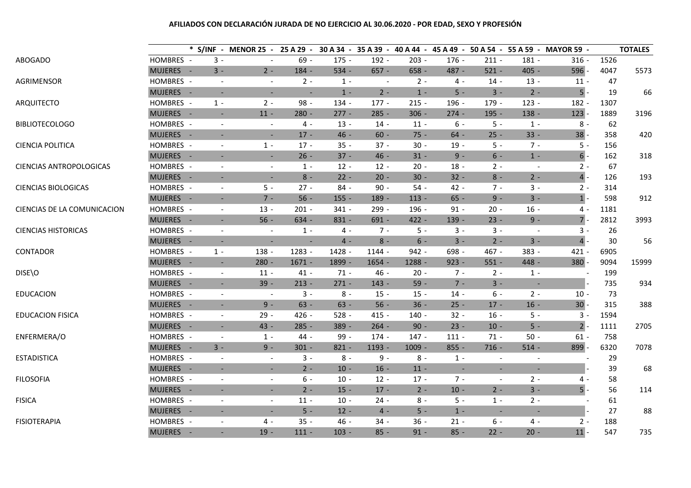# **AFILIADOS CON DECLARACIÓN JURADA DE NO EJERCICIO AL 30.06.2020 - POR EDAD, SEXO Y PROFESIÓN**

|                                |           |                             | * S/INF - MENOR 25 - 25 A 29 - 30 A 34 - 35 A 39 - 40 A 44 - 45 A 49 - 50 A 54 - 55 A 59 - MAYOR 59 - |          |         |          |          |         |                          |                          |                          |      | <b>TOTALES</b> |
|--------------------------------|-----------|-----------------------------|-------------------------------------------------------------------------------------------------------|----------|---------|----------|----------|---------|--------------------------|--------------------------|--------------------------|------|----------------|
| ABOGADO                        | HOMBRES - | $3 -$                       |                                                                                                       | $69 -$   | $175 -$ | $192 -$  | $203 -$  | $176 -$ | $211 -$                  | $181 -$                  | $316 -$                  | 1526 |                |
|                                | MUJERES - | $3 -$                       | $2 -$                                                                                                 | $184 -$  | $534 -$ | $657 -$  | $658 -$  | 487 -   | $521 -$                  | $405 -$                  | $596 -$                  | 4047 | 5573           |
| AGRIMENSOR                     | HOMBRES - | $\overline{\phantom{a}}$    | $\overline{\phantom{a}}$                                                                              | $2 -$    | $1 -$   |          | $2 -$    | 4 -     | $14 -$                   | $13 -$                   | $11 -$                   | 47   |                |
|                                | MUJERES - | $\overline{\phantom{a}}$    |                                                                                                       |          | $1 -$   | $2 -$    | $1 -$    | $5 -$   | $3 -$                    | $2 -$                    | $5 -$                    | 19   | 66             |
| ARQUITECTO                     | HOMBRES - | $1 -$                       | $2 -$                                                                                                 | $98 -$   | 134 -   | $177 -$  | $215 -$  | 196 -   | 179 -                    | $123 -$                  | 182 -                    | 1307 |                |
|                                | MUJERES - | $\blacksquare$              | $11 -$                                                                                                | $280 -$  | $277 -$ | $285 -$  | $306 -$  | $274 -$ | $195 -$                  | $138 -$                  | $123 -$                  | 1889 | 3196           |
| <b>BIBLIOTECOLOGO</b>          | HOMBRES - | $\overline{\phantom{a}}$    | $\overline{\phantom{a}}$                                                                              | 4 -      | $13 -$  | $14 -$   | $11 -$   | $6 -$   | $5 -$                    | $1 -$                    | $8 -$                    | 62   |                |
|                                | MUJERES - | $\overline{\phantom{a}}$    | $\overline{\phantom{a}}$                                                                              | $17 -$   | $46 -$  | $60 -$   | $75 -$   | $64 -$  | $25 -$                   | $33 -$                   | $38 -$                   | 358  | 420            |
| <b>CIENCIA POLITICA</b>        | HOMBRES - | $\overline{\phantom{a}}$    | $1 -$                                                                                                 | $17 -$   | $35 -$  | $37 -$   | $30 -$   | $19 -$  | 5 -                      | $7 -$                    | $5 -$                    | 156  |                |
|                                | MUJERES - | $\overline{\phantom{a}}$    | $\overline{\phantom{a}}$                                                                              | $26 -$   | $37 -$  | $46 -$   | $31 -$   | $9 -$   | $6 -$                    | $1 -$                    | $6 -$                    | 162  | 318            |
| <b>CIENCIAS ANTROPOLOGICAS</b> | HOMBRES - | $\overline{\phantom{a}}$    | $\overline{\phantom{a}}$                                                                              | $1 -$    | $12 -$  | $12 -$   | $20 -$   | $18 -$  | $2 -$                    | $\overline{\phantom{a}}$ | $2 -$                    | 67   |                |
|                                | MUJERES - | $\overline{\phantom{a}}$    | $\overline{\phantom{a}}$                                                                              | $8 -$    | $22 -$  | $20 -$   | $30 -$   | $32 -$  | $8 -$                    | $2 -$                    | $4$ -                    | 126  | 193            |
| <b>CIENCIAS BIOLOGICAS</b>     | HOMBRES - | $\overline{\phantom{a}}$    | $5 -$                                                                                                 | $27 -$   | $84 -$  | $90 -$   | $54 -$   | $42 -$  | $7 -$                    | $3 -$                    | $2 -$                    | 314  |                |
|                                | MUJERES - | $\blacksquare$              | $7 -$                                                                                                 | $56 -$   | $155 -$ | 189 -    | $113 -$  | $65 -$  | $9 -$                    | $3 -$                    | $1$ -                    | 598  | 912            |
| CIENCIAS DE LA COMUNICACION    | HOMBRES - | $\sim$                      | $13 -$                                                                                                | $201 -$  | $341 -$ | 299 -    | 196 -    | $91 -$  | $20 -$                   | $16 -$                   | $4 -$                    | 1181 |                |
|                                | MUJERES - | $\sim$                      | $56 -$                                                                                                | $634 -$  | $831 -$ | $691 -$  | $422 -$  | $139 -$ | $23 -$                   | $9 -$                    | $7 -$                    | 2812 | 3993           |
| <b>CIENCIAS HISTORICAS</b>     | HOMBRES - | $\sim$                      | $\overline{\phantom{a}}$                                                                              | $1 -$    | 4 -     | $7 -$    | $5 -$    | $3 -$   | $3 -$                    | $\overline{\phantom{a}}$ | 3 -                      | 26   |                |
|                                | MUJERES - | $\blacksquare$              | $\blacksquare$                                                                                        | $\sim$   | $4 -$   | $8 -$    | $6 -$    | $3 -$   | $2 -$                    | $3 -$                    | $4 -$                    | 30   | 56             |
| CONTADOR                       | HOMBRES - | $1 -$                       | 138 -                                                                                                 | 1283 -   | 1428 -  | 1144 -   | $942 -$  | 698 -   | $467 -$                  | 383 -                    | $421 -$                  | 6905 |                |
|                                | MUJERES - | $\sim$                      | $280 -$                                                                                               | $1671 -$ | 1899 -  | $1654 -$ | 1288 -   | $923 -$ | $551 -$                  | 448 -                    | $380 -$                  | 9094 | 15999          |
| DISE\O                         | HOMBRES - | $\overline{\phantom{a}}$    | $11 -$                                                                                                | $41 -$   | $71 -$  | $46 -$   | $20 -$   | $7 -$   | $2 -$                    | $1 -$                    | $\overline{\phantom{a}}$ | 199  |                |
|                                | MUJERES - | $\mathcal{L}_{\mathcal{A}}$ | $39 -$                                                                                                | $213 -$  | $271 -$ | $143 -$  | $59 -$   | $7 -$   | $3 -$                    | $\sim$                   |                          | 735  | 934            |
| <b>EDUCACION</b>               | HOMBRES - | $\overline{\phantom{a}}$    | $\overline{\phantom{a}}$                                                                              | $3 -$    | $8 -$   | $15 -$   | $15 -$   | $14 -$  | 6 -                      | $2 -$                    | $10 -$                   | 73   |                |
|                                | MUJERES - | $\sim$                      | $9 -$                                                                                                 | $63 -$   | $63 -$  | $56 -$   | $36 -$   | $25 -$  | $17 -$                   | $16 -$                   | $30 -$                   | 315  | 388            |
| <b>EDUCACION FISICA</b>        | HOMBRES - | $\overline{\phantom{a}}$    | $29 -$                                                                                                | $426 -$  | $528 -$ | $415 -$  | $140 -$  | $32 -$  | $16 -$                   | $5 -$                    | $3 -$                    | 1594 |                |
|                                | MUJERES - | $\mathcal{L}_{\mathcal{A}}$ | $43 -$                                                                                                | $285 -$  | $389 -$ | $264 -$  | $90 -$   | $23 -$  | $10 -$                   | $5 -$                    | $2 -$                    | 1111 | 2705           |
| ENFERMERA/O                    | HOMBRES - | $\blacksquare$              | $1 -$                                                                                                 | 44 -     | $99 -$  | $174 -$  | $147 -$  | $111 -$ | $71 -$                   | $50 -$                   | $61 -$                   | 758  |                |
|                                | MUJERES - | $3 -$                       | $9 -$                                                                                                 | $301 -$  | $821 -$ | 1193 -   | $1009 -$ | $855 -$ | $716 -$                  | $514 -$                  | 899 -                    | 6320 | 7078           |
| <b>ESTADISTICA</b>             | HOMBRES - | $\sim$                      | $\overline{\phantom{a}}$                                                                              | $3 -$    | $8 -$   | $9 -$    | $8 -$    | $1 -$   | $\overline{\phantom{a}}$ | $\overline{\phantom{a}}$ |                          | 29   |                |
|                                | MUJERES - | $\blacksquare$              | $\blacksquare$                                                                                        | $2 -$    | $10 -$  | $16 -$   | $11 -$   | $\sim$  | $\blacksquare$           | $\blacksquare$           |                          | 39   | 68             |
| <b>FILOSOFIA</b>               | HOMBRES - | $\overline{\phantom{a}}$    | $\overline{\phantom{a}}$                                                                              | $6 -$    | $10 -$  | $12 -$   | $17 -$   | $7 -$   | $\overline{\phantom{a}}$ | $2 -$                    | 4 -                      | 58   |                |
|                                | MUJERES - | $\blacksquare$              | $\blacksquare$                                                                                        | $2 -$    | $15 -$  | $17 -$   | $2 -$    | $10 -$  | $2 -$                    | $3 -$                    | $5$ -                    | 56   | 114            |
| <b>FISICA</b>                  | HOMBRES - | $\sim$                      | $\overline{\phantom{a}}$                                                                              | $11 -$   | $10 -$  | $24 -$   | $8 -$    | $5 -$   | $1 -$                    | $2 -$                    | $\sim$                   | 61   |                |
|                                | MUJERES - | $\sim$                      | $\blacksquare$                                                                                        | $5 -$    | $12 -$  | $4 -$    | $5 -$    | $1 -$   | $\sim$                   | $\sim$                   |                          | 27   | 88             |
| <b>FISIOTERAPIA</b>            | HOMBRES - | $\mathcal{L}_{\mathcal{A}}$ | $4 -$                                                                                                 | $35 -$   | $46 -$  | $34 -$   | $36 -$   | $21 -$  | 6 -                      | $4 -$                    | $2 -$                    | 188  |                |
|                                | MUJERES - | $\mathcal{L}_{\mathcal{A}}$ | $19 -$                                                                                                | $111 -$  | $103 -$ | $85 -$   | $91 -$   | $85 -$  | $22 -$                   | $20 -$                   | $11 -$                   | 547  | 735            |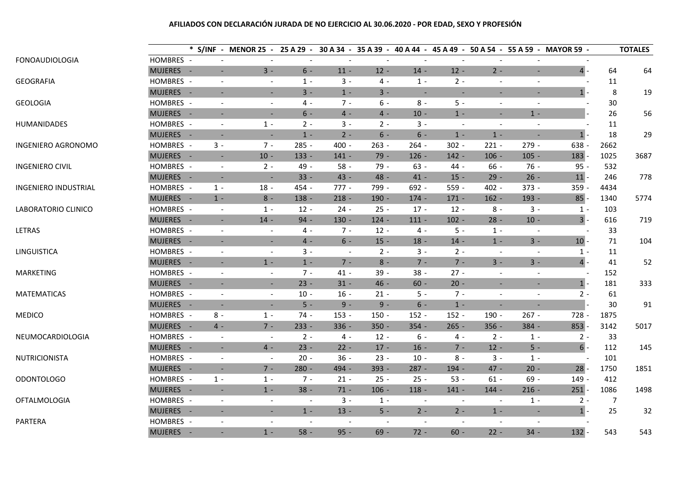# **AFILIADOS CON DECLARACIÓN JURADA DE NO EJERCICIO AL 30.06.2020 - POR EDAD, SEXO Y PROFESIÓN**

|                             |           |       | * S/INF - MENOR 25 - 25 A 29 - 30 A 34 - 35 A 39 - 40 A 44 - 45 A 49 - 50 A 54 - 55 A 59 - MAYOR 59 - |                          |                          |                          |                          |                          |                          |                          |         |      | <b>TOTALES</b> |
|-----------------------------|-----------|-------|-------------------------------------------------------------------------------------------------------|--------------------------|--------------------------|--------------------------|--------------------------|--------------------------|--------------------------|--------------------------|---------|------|----------------|
| <b>FONOAUDIOLOGIA</b>       | HOMBRES - |       | $\sim$                                                                                                | $\sim$                   |                          |                          | $\blacksquare$           | $\overline{\phantom{a}}$ |                          |                          |         |      |                |
|                             | MUJERES - |       | $3 -$<br>$\blacksquare$                                                                               | $6 -$                    | $11 -$                   | $12 -$                   | $14 -$                   | $12 -$                   | $2 -$                    | $\blacksquare$           | $4 -$   | 64   | 64             |
| <b>GEOGRAFIA</b>            | HOMBRES - |       | $\overline{\phantom{a}}$<br>$\overline{\phantom{a}}$                                                  | $1 -$                    | $3 -$                    | 4 -                      | $1 -$                    | $2 -$                    | $\overline{\phantom{a}}$ |                          |         | 11   |                |
|                             | MUJERES - |       | ٠<br>$\overline{\phantom{a}}$                                                                         | $3 -$                    | $1 -$                    | $3 -$                    |                          | ٠                        | $\blacksquare$           | $\overline{\phantom{a}}$ | $1$ -   | 8    | 19             |
| <b>GEOLOGIA</b>             | HOMBRES - |       | $\overline{\phantom{a}}$<br>$\overline{\phantom{a}}$                                                  | $4 -$                    | $7 -$                    | $6 -$                    | $8 -$                    | $5 -$                    | $\overline{\phantom{a}}$ | $\overline{\phantom{a}}$ |         | 30   |                |
|                             | MUJERES - |       | ٠<br>$\overline{\phantom{a}}$                                                                         | $6 -$                    | $4 -$                    | $4 -$                    | $10 -$                   | $1 -$                    | $\blacksquare$           | $1 -$                    |         | 26   | 56             |
| <b>HUMANIDADES</b>          | HOMBRES - |       | $1 -$<br>$\overline{\phantom{a}}$                                                                     | $2 -$                    | $3 -$                    | $2 -$                    | $3 -$                    | $\overline{\phantom{a}}$ | $\sim$                   |                          |         | 11   |                |
|                             | MUJERES - |       | $\overline{\phantom{a}}$<br>$\overline{\phantom{a}}$                                                  | $1 -$                    | $2 -$                    | $6 -$                    | $6 -$                    | $1 -$                    | $1 -$                    | $\overline{\phantom{a}}$ | $1$ -   | 18   | 29             |
| <b>INGENIERO AGRONOMO</b>   | HOMBRES - | $3 -$ | $7 -$                                                                                                 | $285 -$                  | $400 -$                  | $263 -$                  | $264 -$                  | $302 -$                  | $221 -$                  | $279 -$                  | 638 -   | 2662 |                |
|                             | MUJERES - |       | $10 -$<br>$\overline{\phantom{a}}$                                                                    | $133 -$                  | $141 -$                  | $79 -$                   | $126 -$                  | $142 -$                  | $106 -$                  | $105 -$                  | $183 -$ | 1025 | 3687           |
| <b>INGENIERO CIVIL</b>      | HOMBRES - |       | $2 -$<br>$\overline{\phantom{a}}$                                                                     | 49 -                     | $58 -$                   | 79 -                     | $63 -$                   | $44 -$                   | $66 -$                   | $76 -$                   | $95 -$  | 532  |                |
|                             | MUJERES - |       | $\overline{\phantom{a}}$<br>$\overline{\phantom{a}}$                                                  | $33 -$                   | $43 -$                   | $48 -$                   | $41 -$                   | $15 -$                   | $29 -$                   | $26 -$                   | $11 -$  | 246  | 778            |
| <b>INGENIERO INDUSTRIAL</b> | HOMBRES - | $1 -$ | $18 -$                                                                                                | 454 -                    | $777 -$                  | 799 -                    | 692 -                    | 559 -                    | $402 -$                  | $373 -$                  | $359 -$ | 4434 |                |
|                             | MUJERES - | $1 -$ | $8 -$                                                                                                 | $138 -$                  | $218 -$                  | $190 -$                  | $174 -$                  | $171 -$                  | $162 -$                  | 193 -                    | $85 -$  | 1340 | 5774           |
| LABORATORIO CLINICO         | HOMBRES - |       | $1 -$<br>$\overline{\phantom{a}}$                                                                     | $12 -$                   | $24 -$                   | $25 -$                   | $17 -$                   | $12 -$                   | $8 -$                    | $3 -$                    | $1 -$   | 103  |                |
|                             | MUJERES - |       | $14 -$<br>$\sim$                                                                                      | $94 -$                   | $130 -$                  | $124 -$                  | $111 -$                  | $102 -$                  | $28 -$                   | $10 -$                   | 3       | 616  | 719            |
| <b>LETRAS</b>               | HOMBRES - |       | $\overline{\phantom{a}}$<br>$\overline{\phantom{a}}$                                                  | 4 -                      | $7 -$                    | $12 -$                   | $4 -$                    | $5 -$                    | $1 -$                    |                          |         | 33   |                |
|                             | MUJERES - |       | $\blacksquare$<br>$\blacksquare$                                                                      | $4 -$                    | $6 -$                    | $15 -$                   | $18 -$                   | $14 -$                   | $1 -$                    | $3 -$                    | $10 -$  | 71   | 104            |
| LINGUISTICA                 | HOMBRES - |       | $\overline{\phantom{a}}$<br>$\overline{\phantom{a}}$                                                  | 3 -                      | $\overline{\phantom{a}}$ | $2 -$                    | $3 -$                    | $2 -$                    | $\sim$                   | $\overline{\phantom{a}}$ | $1 -$   | 11   |                |
|                             | MUJERES - |       | $1 -$<br>$\sim$                                                                                       | $1 -$                    | $7 -$                    | $8 -$                    | $7 -$                    | $7 -$                    | $3 -$                    | $3 -$                    | $4$ -   | 41   | 52             |
| <b>MARKETING</b>            | HOMBRES - |       | $\overline{\phantom{a}}$<br>$\overline{\phantom{a}}$                                                  | $7 -$                    | $41 -$                   | $39 -$                   | $38 -$                   | $27 -$                   | $\sim$                   | $\overline{\phantom{a}}$ |         | 152  |                |
|                             | MUJERES - |       | $\overline{\phantom{a}}$<br>$\blacksquare$                                                            | $23 -$                   | $31 -$                   | $46 -$                   | $60 -$                   | $20 -$                   | $\sim$                   | $\overline{\phantom{a}}$ | $1$ -   | 181  | 333            |
| <b>MATEMATICAS</b>          | HOMBRES - |       | $\overline{\phantom{a}}$<br>$\overline{\phantom{a}}$                                                  | $10 -$                   | $16 -$                   | $21 -$                   | $5 -$                    | $7 -$                    | $\blacksquare$           | $\overline{a}$           | $2 -$   | 61   |                |
|                             | MUJERES - |       | $\blacksquare$<br>$\overline{\phantom{a}}$                                                            | $5 -$                    | $9 -$                    | $9 -$                    | $6 -$                    | $1 -$                    | $\blacksquare$           |                          |         | 30   | 91             |
| <b>MEDICO</b>               | HOMBRES - | $8 -$ | $1 -$                                                                                                 | $74 -$                   | $153 -$                  | $150 -$                  | $152 -$                  | $152 -$                  | 190 -                    | $267 -$                  | 728 -   | 1875 |                |
|                             | MUJERES - | $4 -$ | $7 -$                                                                                                 | $233 -$                  | $336 -$                  | $350 -$                  | $354 -$                  | $265 -$                  | $356 -$                  | $384 -$                  | $853 -$ | 3142 | 5017           |
| NEUMOCARDIOLOGIA            | HOMBRES - |       | $\overline{\phantom{a}}$<br>$\overline{\phantom{a}}$                                                  | $2 -$                    | $4 -$                    | $12 -$                   | $6 -$                    | $4 -$                    | $2 -$                    | $1 -$                    | $2 -$   | 33   |                |
|                             | MUJERES - |       | $4 -$<br>$\overline{\phantom{a}}$                                                                     | $23 -$                   | $22 -$                   | $17 -$                   | $16 -$                   | $7 -$                    | $12 -$                   | $5 -$                    | $6 -$   | 112  | 145            |
| NUTRICIONISTA               | HOMBRES - |       | $\overline{\phantom{a}}$<br>$\overline{\phantom{a}}$                                                  | $20 -$                   | $36 -$                   | $23 -$                   | $10 -$                   | $8 -$                    | $3 -$                    | $1 -$                    |         | 101  |                |
|                             | MUJERES - |       | $7 -$<br>$\sim$                                                                                       | $280 -$                  | 494 -                    | $393 -$                  | $287 -$                  | 194 -                    | $47 -$                   | $20 -$                   | $28 -$  | 1750 | 1851           |
| <b>ODONTOLOGO</b>           | HOMBRES - | $1 -$ | $1 -$                                                                                                 | $7 -$                    | $21 -$                   | $25 -$                   | $25 -$                   | $53 -$                   | $61 -$                   | $69 -$                   | 149 -   | 412  |                |
|                             | MUJERES - |       | $1 -$<br>$\overline{\phantom{a}}$                                                                     | $38 -$                   | $71 -$                   | $106 -$                  | $118 -$                  | $141 -$                  | $144 -$                  | $216 -$                  | $251 -$ | 1086 | 1498           |
| <b>OFTALMOLOGIA</b>         | HOMBRES - |       | $\overline{\phantom{a}}$<br>$\overline{\phantom{a}}$                                                  | $\overline{\phantom{a}}$ | $3 -$                    | $1 -$                    | $\overline{\phantom{a}}$ | $\overline{\phantom{a}}$ | $\overline{\phantom{a}}$ | $1 -$                    | $2 -$   | 7    |                |
|                             | MUJERES - |       | $\sim$<br>$\blacksquare$                                                                              | $1 -$                    | $13 -$                   | $5 -$                    | $2 -$                    | $2 -$                    | $1 -$                    | $\blacksquare$           | $1 -$   | 25   | 32             |
| PARTERA                     | HOMBRES - |       | $\blacksquare$<br>$\overline{\phantom{a}}$                                                            | $\overline{\phantom{a}}$ | $\blacksquare$           | $\overline{\phantom{a}}$ | $\blacksquare$           | $\overline{\phantom{a}}$ | $\sim$                   | $\blacksquare$           |         |      |                |
|                             | MUJERES - |       | $1 -$<br>$\sim$                                                                                       | $58 -$                   | $95 -$                   | $69 -$                   | $72 -$                   | $60 -$                   | $22 -$                   | $34 -$                   | $132 -$ | 543  | 543            |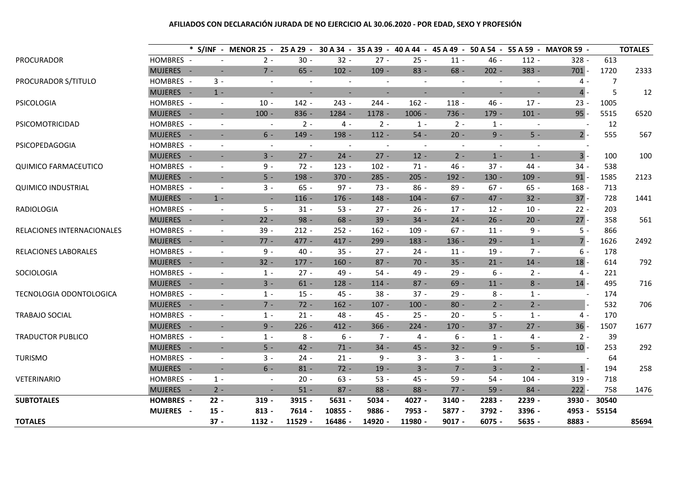# **AFILIADOS CON DECLARACIÓN JURADA DE NO EJERCICIO AL 30.06.2020 - POR EDAD, SEXO Y PROFESIÓN**

|                                |                  |                          | * S/INF - MENOR 25 - 25 A 29 - 30 A 34 - 35 A 39 - 40 A 44 - 45 A 49 - 50 A 54 - 55 A 59 - MAYOR 59 - |                          |                          |                          |                          |                          |                          |                          |                          |       | <b>TOTALES</b> |
|--------------------------------|------------------|--------------------------|-------------------------------------------------------------------------------------------------------|--------------------------|--------------------------|--------------------------|--------------------------|--------------------------|--------------------------|--------------------------|--------------------------|-------|----------------|
| PROCURADOR                     | HOMBRES -        | $\overline{\phantom{a}}$ | $2 -$                                                                                                 | $30 -$                   | $32 -$                   | $27 -$                   | $25 -$                   | $11 -$                   | $46 -$                   | $112 -$                  | $328 -$                  | 613   |                |
|                                | MUJERES -        | $\blacksquare$           | $7 -$                                                                                                 | $65 -$                   | $102 -$                  | $109 -$                  | $83 -$                   | $68 -$                   | $202 -$                  | 383 -                    | $701 -$                  | 1720  | 2333           |
| PROCURADOR S/TITULO            | HOMBRES -        | $3 -$                    | $\blacksquare$                                                                                        | $\blacksquare$           | $\overline{\phantom{a}}$ |                          | $\overline{\phantom{a}}$ | $\overline{\phantom{a}}$ | $\overline{\phantom{a}}$ | $\overline{a}$           | $4 -$                    | 7     |                |
|                                | MUJERES -        | $1 -$                    | $\blacksquare$                                                                                        | $\blacksquare$           | $\overline{\phantom{a}}$ | $\overline{\phantom{a}}$ | $\blacksquare$           | $\overline{\phantom{a}}$ | $\blacksquare$           | $\overline{\phantom{a}}$ | $4 -$                    | 5     | 12             |
| PSICOLOGIA                     | HOMBRES -        | $\overline{\phantom{a}}$ | $10 -$                                                                                                | $142 -$                  | $243 -$                  | $244 -$                  | $162 -$                  | $118 -$                  | $46 -$                   | $17 -$                   | $23 -$                   | 1005  |                |
|                                | MUJERES -        | $\sim$                   | $100 -$                                                                                               | $836 -$                  | 1284 -                   | $1178 -$                 | $1006 -$                 | $736 -$                  | $179 -$                  | $101 -$                  | $95 -$                   | 5515  | 6520           |
| PSICOMOTRICIDAD                | HOMBRES -        | $\overline{\phantom{a}}$ | $\blacksquare$                                                                                        | $2 -$                    | $4 -$                    | $2 -$                    | $1 -$                    | $2 -$                    | $1 -$                    | $\overline{\phantom{a}}$ |                          | 12    |                |
|                                | MUJERES -        | $\blacksquare$           | $6 -$                                                                                                 | 149 -                    | 198 -                    | $112 -$                  | $54 -$                   | $20 -$                   | $9 -$                    | $5 -$                    | $2$ -                    | 555   | 567            |
| PSICOPEDAGOGIA                 | HOMBRES -        | $\overline{\phantom{a}}$ | $\overline{\phantom{a}}$                                                                              | $\overline{\phantom{a}}$ | $\overline{\phantom{a}}$ |                          |                          | $\overline{\phantom{a}}$ | $\overline{\phantom{a}}$ |                          |                          |       |                |
|                                | MUJERES -        | $\sim$                   | $3 -$                                                                                                 | $27 -$                   | $24 -$                   | $27 -$                   | $12 -$                   | $2 -$                    | $1 -$                    | $1 -$                    | 3                        | 100   | 100            |
| <b>QUIMICO FARMACEUTICO</b>    | HOMBRES -        | $\overline{\phantom{a}}$ | $9 -$                                                                                                 | $72 -$                   | $123 -$                  | $102 -$                  | $71 -$                   | $46 -$                   | $37 -$                   | $44 -$                   | $34 -$                   | 538   |                |
|                                | MUJERES -        | $\blacksquare$           | $5 -$                                                                                                 | 198 -                    | $370 -$                  | $285 -$                  | $205 -$                  | $192 -$                  | $130 -$                  | $109 -$                  | $91 -$                   | 1585  | 2123           |
| <b>QUIMICO INDUSTRIAL</b>      | HOMBRES -        | $\overline{\phantom{a}}$ | $3 -$                                                                                                 | $65 -$                   | $97 -$                   | $73 -$                   | $86 -$                   | $89 -$                   | $67 -$                   | $65 -$                   | $168 -$                  | 713   |                |
|                                | MUJERES -        | $1 -$                    | $\overline{\phantom{a}}$                                                                              | $116 -$                  | $176 -$                  | $148 -$                  | $104 -$                  | $67 -$                   | $47 -$                   | $32 -$                   | $37 -$                   | 728   | 1441           |
| RADIOLOGIA                     | HOMBRES -        | $\blacksquare$           | $5 -$                                                                                                 | $31 -$                   | $53 -$                   | $27 -$                   | $26 -$                   | $17 -$                   | $12 -$                   | $10 -$                   | $22 -$                   | 203   |                |
|                                | MUJERES -        | $\blacksquare$           | $22 -$                                                                                                | $98 -$                   | $68 -$                   | $39 -$                   | $34 -$                   | $24 -$                   | $26 -$                   | $20 -$                   | $27 -$                   | 358   | 561            |
| RELACIONES INTERNACIONALES     | HOMBRES -        | $\overline{\phantom{a}}$ | $39 -$                                                                                                | $212 -$                  | $252 -$                  | $162 -$                  | $109 -$                  | $67 -$                   | $11 -$                   | $9 -$                    | $5 -$                    | 866   |                |
|                                | MUJERES -        | $\sim$                   | $77 -$                                                                                                | $477 -$                  | $417 -$                  | $299 -$                  | $183 -$                  | $136 -$                  | $29 -$                   | $1 -$                    | $7 -$                    | 1626  | 2492           |
| RELACIONES LABORALES           | HOMBRES -        | $\blacksquare$           | $9 -$                                                                                                 | $40 -$                   | $35 -$                   | $27 -$                   | $24 -$                   | $11 -$                   | $19 -$                   | $7 -$                    | $6 -$                    | 178   |                |
|                                | MUJERES -        | $\sim$                   | $32 -$                                                                                                | $177 -$                  | $160 -$                  | $87 -$                   | $70 -$                   | $35 -$                   | $21 -$                   | $14 -$                   | $18 -$                   | 614   | 792            |
| SOCIOLOGIA                     | HOMBRES -        | $\blacksquare$           | $1 -$                                                                                                 | $27 -$                   | 49 -                     | $54 -$                   | $49 -$                   | $29 -$                   | $6 -$                    | $2 -$                    | $4 -$                    | 221   |                |
|                                | MUJERES -        | $\blacksquare$           | $3 -$                                                                                                 | $61 -$                   | $128 -$                  | $114 -$                  | $87 -$                   | $69 -$                   | $11 -$                   | $8 -$                    | $14 -$                   | 495   | 716            |
| <b>TECNOLOGIA ODONTOLOGICA</b> | HOMBRES -        | $\overline{\phantom{a}}$ | $1 -$                                                                                                 | $15 -$                   | 45 -                     | $38 -$                   | $37 -$                   | $29 -$                   | $8 -$                    | $1 -$                    | $\overline{\phantom{a}}$ | 174   |                |
|                                | MUJERES -        | $\blacksquare$           | $7 -$                                                                                                 | $72 -$                   | $162 -$                  | $107 -$                  | $100 -$                  | $80 -$                   | $2 -$                    | $2 -$                    |                          | 532   | 706            |
| <b>TRABAJO SOCIAL</b>          | HOMBRES -        | $\overline{\phantom{a}}$ | $1 -$                                                                                                 | $21 -$                   | 48 -                     | $45 -$                   | $25 -$                   | $20 -$                   | $5 -$                    | $1 -$                    | $4 -$                    | 170   |                |
|                                | MUJERES -        | $\omega$                 | $9 -$                                                                                                 | $226 -$                  | $412 -$                  | $366 -$                  | $224 -$                  | $170 -$                  | $37 -$                   | $27 -$                   | $36 -$                   | 1507  | 1677           |
| <b>TRADUCTOR PUBLICO</b>       | HOMBRES -        | $\overline{\phantom{a}}$ | $1 -$                                                                                                 | $8 -$                    | $6 -$                    | $7 -$                    | 4 -                      | $6 -$                    | $1 -$                    | $4 -$                    | $2 -$                    | 39    |                |
|                                | MUJERES -        | $\sim$                   | $5 -$                                                                                                 | $42 -$                   | $71 -$                   | $34 -$                   | $45 -$                   | $32 -$                   | $9 -$                    | $5 -$                    | $10 -$                   | 253   | 292            |
| <b>TURISMO</b>                 | HOMBRES -        | $\blacksquare$           | $3 -$                                                                                                 | $24 -$                   | $21 -$                   | $9 -$                    | $3 -$                    | $3 -$                    | $1 -$                    | $\sim$                   |                          | 64    |                |
|                                | MUJERES -        | $\blacksquare$           | $6 -$                                                                                                 | $81 -$                   | $72 -$                   | $19 -$                   | $3 -$                    | $7 -$                    | $3 -$                    | $2 -$                    | $1$ -                    | 194   | 258            |
| <b>VETERINARIO</b>             | HOMBRES -        | $1 -$                    | $\overline{\phantom{a}}$                                                                              | $20 -$                   | $63 -$                   | $53 -$                   | 45 -                     | $59 -$                   | $54 -$                   | $104 -$                  | $319 -$                  | 718   |                |
|                                | MUJERES -        | $2 -$                    | $\blacksquare$                                                                                        | $51 -$                   | $87 -$                   | $88 -$                   | $88 -$                   | $77 -$                   | $59 -$                   | $84 -$                   | $222 -$                  | 758   | 1476           |
| <b>SUBTOTALES</b>              | <b>HOMBRES -</b> | $22 -$                   | $319 -$                                                                                               | 3915 -                   | $5631 -$                 | 5034 -                   | 4027 -                   | 3140 -                   | 2283 -                   | 2239 -                   | 3930 -                   | 30540 |                |
|                                | <b>MUJERES -</b> | $15 -$                   | $813 -$                                                                                               | 7614 -                   | 10855 -                  | 9886 -                   | 7953 -                   | 5877 -                   | 3792 -                   | 3396 -                   | 4953 -                   | 55154 |                |
| <b>TOTALES</b>                 |                  | $37 -$                   | 1132 -                                                                                                | 11529 -                  | 16486 -                  | 14920 -                  | 11980 -                  | $9017 -$                 | $6075 -$                 | $5635 -$                 | 8883 -                   |       | 85694          |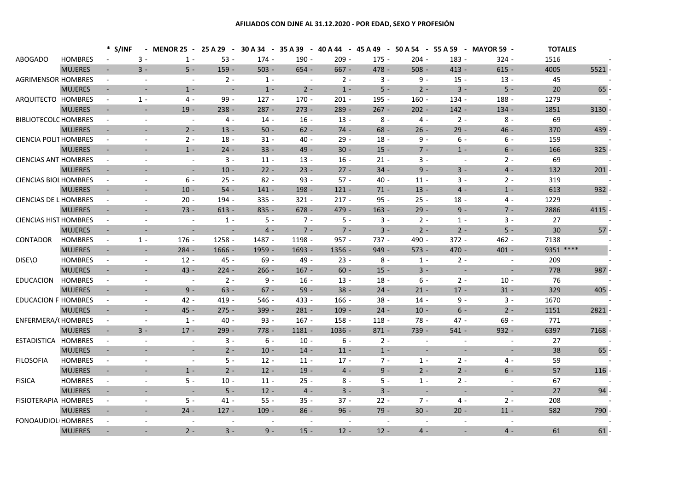### **AFILIADOS CON DJNE AL 31.12.2020 - POR EDAD, SEXO Y PROFESIÓN**

|                              |                | * S/INF                  |                          | MENOR 25 -               |                          |         |                          |          |         |         |                          | 25 A 29 - 30 A 34 - 35 A 39 - 40 A 44 - 45 A 49 - 50 A 54 - 55 A 59 - MAYOR 59 - | <b>TOTALES</b> |         |
|------------------------------|----------------|--------------------------|--------------------------|--------------------------|--------------------------|---------|--------------------------|----------|---------|---------|--------------------------|----------------------------------------------------------------------------------|----------------|---------|
| <b>ABOGADO</b>               | <b>HOMBRES</b> |                          | $3 -$                    | $1 -$                    | $53 -$                   | $174 -$ | $190 -$                  | $209 -$  | $175 -$ | $204 -$ | 183 -                    | $324 -$                                                                          | 1516           |         |
|                              | <b>MUJERES</b> | $\sim$                   | $3 -$                    | $5 -$                    | $159 -$                  | $503 -$ | $654 -$                  | $667 -$  | 478 -   | $508 -$ | $413 -$                  | $615 -$                                                                          | 4005           | 5521    |
| <b>AGRIMENSOR HOMBRES</b>    |                | $\overline{\phantom{a}}$ | $\overline{\phantom{a}}$ | $\overline{\phantom{a}}$ | $2 -$                    | $1 -$   | $\sim$                   | $2 -$    | $3 -$   | 9 -     | $15 -$                   | $13 -$                                                                           | 45             |         |
|                              | <b>MUJERES</b> | $\blacksquare$           | $\overline{\phantom{a}}$ | $1 -$                    | $\sim$                   | $1 -$   | $2 -$                    | $1 -$    | $5 -$   | $2 -$   | $3 -$                    | $5 -$                                                                            | 20             | 65      |
| ARQUITECTO HOMBRES           |                | $\blacksquare$           | $1 -$                    | $4 -$                    | $99 -$                   | $127 -$ | $170 -$                  | $201 -$  | $195 -$ | $160 -$ | 134 -                    | 188 -                                                                            | 1279           |         |
|                              | <b>MUJERES</b> | $\overline{\phantom{a}}$ | $\overline{\phantom{a}}$ | $19 -$                   | $238 -$                  | $287 -$ | $273 -$                  | $289 -$  | $267 -$ | $202 -$ | $142 -$                  | $134 -$                                                                          | 1851           | 3130    |
| <b>BIBLIOTECOLC HOMBRES</b>  |                | $\sim$                   | $\blacksquare$           | $\sim$                   | 4 -                      | $14 -$  | $16 -$                   | $13 -$   | 8 -     | 4 -     | $2 -$                    | 8 -                                                                              | 69             |         |
|                              | <b>MUJERES</b> |                          |                          | $2 -$                    | $13 -$                   | $50 -$  | $62 -$                   | $74 -$   | $68 -$  | $26 -$  | $29 -$                   | $46 -$                                                                           | 370            | 439     |
| <b>CIENCIA POLIT HOMBRES</b> |                | $\overline{\phantom{a}}$ | $\blacksquare$           | $2 -$                    | $18 -$                   | $31 -$  | $40 -$                   | $29 -$   | $18 -$  | 9 -     | 6 -                      | 6 -                                                                              | 159            |         |
|                              | <b>MUJERES</b> | $\overline{\phantom{a}}$ | $\sim$                   | $1 -$                    | $24 -$                   | $33 -$  | $49 -$                   | $30 -$   | $15 -$  | $7 -$   | $1 -$                    | $6 -$                                                                            | 166            | 325     |
| <b>CIENCIAS ANT HOMBRES</b>  |                | $\sim$                   | $\sim$                   | $\sim$                   | $3 -$                    | $11 -$  | $13 -$                   | $16 -$   | $21 -$  | $3 -$   | $\blacksquare$           | $2 -$                                                                            | 69             |         |
|                              | <b>MUJERES</b> | $\blacksquare$           |                          | $\sim$                   | $10 -$                   | $22 -$  | $23 -$                   | $27 -$   | $34 -$  | $9 -$   | $3 -$                    | $4 -$                                                                            | 132            | 201     |
| <b>CIENCIAS BIOL HOMBRES</b> |                | $\blacksquare$           | $\blacksquare$           | 6 -                      | $25 -$                   | $82 -$  | $93 -$                   | $57 -$   | $40 -$  | $11 -$  | $3 -$                    | $2 -$                                                                            | 319            |         |
|                              | <b>MUJERES</b> | $\blacksquare$           | $\sim$                   | $10 -$                   | $54 -$                   | $141 -$ | 198 -                    | $121 -$  | $71 -$  | $13 -$  | $4 -$                    | $1 -$                                                                            | 613            | $932 -$ |
| <b>CIENCIAS DE L HOMBRES</b> |                | $\overline{\phantom{a}}$ | $\overline{\phantom{a}}$ | $20 -$                   | 194 -                    | $335 -$ | $321 -$                  | $217 -$  | $95 -$  | $25 -$  | $18 -$                   | 4 -                                                                              | 1229           |         |
|                              | <b>MUJERES</b> | $\overline{\phantom{a}}$ | $\sim$                   | $73 -$                   | $613 -$                  | $835 -$ | $678 -$                  | $479 -$  | $163 -$ | $29 -$  | $9 -$                    | $7 -$                                                                            | 2886           | 4115    |
| <b>CIENCIAS HIST HOMBRES</b> |                | $\overline{\phantom{a}}$ | $\blacksquare$           | $\overline{\phantom{a}}$ | $1 -$                    | $5 -$   | $7 -$                    | $5 -$    | $3 -$   | $2 -$   | $1 -$                    | $3 -$                                                                            | 27             |         |
|                              | <b>MUJERES</b> |                          |                          | $\blacksquare$           | $\blacksquare$           | $4 -$   | $7 -$                    | $7 -$    | $3 -$   | $2 -$   | $2 -$                    | $5 -$                                                                            | 30             | $57 -$  |
| <b>CONTADOR</b>              | <b>HOMBRES</b> | $\blacksquare$           | $1 -$                    | $176 -$                  | $1258 -$                 | 1487 -  | 1198 -                   | $957 -$  | 737 -   | $490 -$ | $372 -$                  | $462 -$                                                                          | 7138           |         |
|                              | <b>MUJERES</b> |                          | $\overline{\phantom{a}}$ | $284 -$                  | $1666 -$                 | 1959 -  | 1693 -                   | 1356 -   | $949 -$ | $573 -$ | $470 -$                  | $401 -$                                                                          | 9351 ****      |         |
| DISE\O                       | <b>HOMBRES</b> | $\overline{\phantom{a}}$ | $\overline{\phantom{a}}$ | $12 -$                   | $45 -$                   | $69 -$  | $49 -$                   | $23 -$   | $8 -$   | $1 -$   | $2 -$                    | $\sim$                                                                           | 209            |         |
|                              | <b>MUJERES</b> | $\sim$                   | $\sim$                   | $43 -$                   | $224 -$                  | $266 -$ | $167 -$                  | $60 -$   | $15 -$  | $3 -$   | $\sim$                   | $\sim$                                                                           | 778            | 987     |
| <b>EDUCACION</b>             | <b>HOMBRES</b> | $\blacksquare$           | $\sim$                   | $\sim$                   | $2 -$                    | $9 -$   | $16 -$                   | $13 -$   | $18 -$  | $6 -$   | $2 -$                    | $10 -$                                                                           | 76             |         |
|                              | <b>MUJERES</b> | $\blacksquare$           |                          | $9 -$                    | $63 -$                   | $67 -$  | $59 -$                   | $38 -$   | $24 -$  | $21 -$  | $17 -$                   | $31 -$                                                                           | 329            | 405     |
| <b>EDUCACION F HOMBRES</b>   |                | $\blacksquare$           | $\blacksquare$           | $42 -$                   | $419 -$                  | $546 -$ | $433 -$                  | $166 -$  | $38 -$  | $14 -$  | $9 -$                    | $3 -$                                                                            | 1670           |         |
|                              | <b>MUJERES</b> | $\sim$                   |                          | $45 -$                   | $275 -$                  | $399 -$ | $281 -$                  | $109 -$  | $24 -$  | $10 -$  | $6 -$                    | $2 -$                                                                            | 1151           | 2821    |
| <b>ENFERMERA/(HOMBRES</b>    |                | $\blacksquare$           | $\sim$                   | $1 -$                    | $40 -$                   | $93 -$  | $167 -$                  | $158 -$  | $118 -$ | $78 -$  | $47 -$                   | $69 -$                                                                           | 771            |         |
|                              | <b>MUJERES</b> | $\sim$                   | $3 -$                    | $17 -$                   | $299 -$                  | $778 -$ | $1181 -$                 | $1036 -$ | $871 -$ | 739 -   | $541 -$                  | $932 -$                                                                          | 6397           | 7168    |
| ESTADISTICA HOMBRES          |                | $\blacksquare$           | $\blacksquare$           | $\blacksquare$           | $3 -$                    | 6 -     | $10 -$                   | 6 -      | $2 -$   |         | $\sim$                   | $\blacksquare$                                                                   | 27             |         |
|                              | <b>MUJERES</b> | $\overline{\phantom{a}}$ |                          | $\overline{\phantom{a}}$ | $2 -$                    | $10 -$  | $14 -$                   | $11 -$   | $1 -$   |         |                          |                                                                                  | 38             | 65      |
| <b>FILOSOFIA</b>             | <b>HOMBRES</b> | $\overline{\phantom{a}}$ |                          | $\overline{\phantom{a}}$ | $5 -$                    | $12 -$  | $11 -$                   | $17 -$   | $7 -$   | $1 -$   | $2 -$                    | 4 -                                                                              | 59             |         |
|                              | <b>MUJERES</b> |                          |                          | $1 -$                    | $2 -$                    | $12 -$  | $19 -$                   | $4 -$    | $9 -$   | $2 -$   | $2 -$                    | $6 -$                                                                            | 57             | 116     |
| <b>FISICA</b>                | <b>HOMBRES</b> | $\overline{\phantom{a}}$ | $\blacksquare$           | $5 -$                    | $10 -$                   | $11 -$  | $25 -$                   | 8 -      | $5 -$   | $1 -$   | $2 -$                    | $\blacksquare$                                                                   | 67             |         |
|                              | <b>MUJERES</b> | $\sim$                   | $\sim$                   | $\sim$                   | $5 -$                    | $12 -$  | $4 -$                    | $3 -$    | $3 -$   | $\sim$  | $\sim$                   | $\sim$                                                                           | 27             | 94      |
| <b>FISIOTERAPIA HOMBRES</b>  |                | $\blacksquare$           | $\blacksquare$           | $5 -$                    | $41 -$                   | $55 -$  | $35 -$                   | $37 -$   | $22 -$  | $7 -$   | 4 -                      | $2 -$                                                                            | 208            |         |
|                              | <b>MUJERES</b> | $\sim$                   | $\blacksquare$           | $24 -$                   | $127 -$                  | $109 -$ | $86 -$                   | $96 -$   | $79 -$  | $30 -$  | $20 -$                   | $11 -$                                                                           | 582            | 790     |
| <b>FONOAUDIOL HOMBRES</b>    |                | $\sim$                   |                          |                          | $\overline{\phantom{a}}$ |         | $\overline{\phantom{a}}$ |          |         |         |                          | $\blacksquare$                                                                   |                |         |
|                              | <b>MUJERES</b> | $\blacksquare$           | $\blacksquare$           | $2 -$                    | $3 -$                    | $9 -$   | $15 -$                   | $12 -$   | $12 -$  | $4 -$   | $\overline{\phantom{a}}$ | $4 -$                                                                            | 61             | 61      |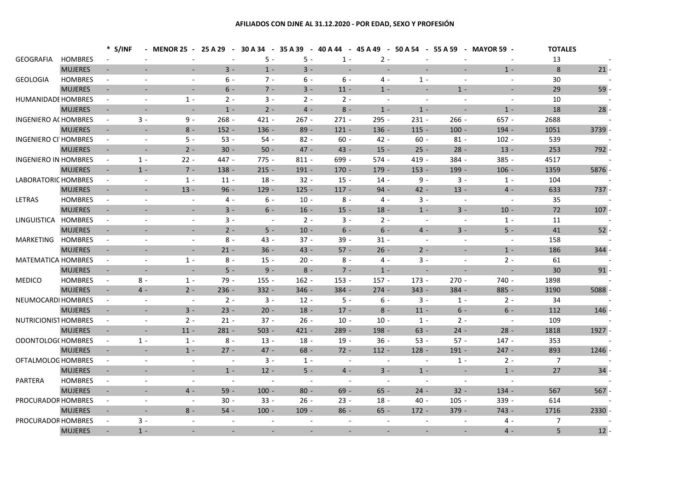### **AFILIADOS CON DJNE AL 31.12.2020 - POR EDAD, SEXO Y PROFESIÓN**

|                             |                |                          | * S/INF                  | <b>MENOR 25 -</b>        | 25 A 29<br>$\sim$ | 30 A 34<br>$\sim$ | 35 A 39        | $-40A44$                 | $-45A49$<br>$\sim$ $-$ |                          |                          | 50 A 54 - 55 A 59 - MAYOR 59 - | <b>TOTALES</b>  |      |
|-----------------------------|----------------|--------------------------|--------------------------|--------------------------|-------------------|-------------------|----------------|--------------------------|------------------------|--------------------------|--------------------------|--------------------------------|-----------------|------|
| <b>GEOGRAFIA</b>            | <b>HOMBRES</b> |                          |                          |                          |                   | $5 -$             | $5 -$          | $1 -$                    | $2 -$                  |                          |                          |                                | 13              |      |
|                             | <b>MUJERES</b> | $\omega$                 | $\blacksquare$           | $\blacksquare$           | $3 -$             | $1 -$             | $3 -$          | $\sim$                   |                        | $\overline{\phantom{a}}$ | $\blacksquare$           | $1 -$                          | 8               | 21   |
| <b>GEOLOGIA</b>             | <b>HOMBRES</b> | $\blacksquare$           |                          | $\blacksquare$           | $6 -$             | $7 -$             | $6 -$          | $6 -$                    | 4 -                    | $1 -$                    | $\overline{\phantom{a}}$ |                                | 30              |      |
|                             | <b>MUJERES</b> | $\sim$                   |                          | $\overline{\phantom{a}}$ | $6 -$             | $7 -$             | $3 -$          | $11 -$                   | $1 -$                  |                          | $1 -$                    |                                | 29              | 59   |
| <b>HUMANIDADE HOMBRES</b>   |                | $\blacksquare$           | $\bar{\phantom{a}}$      | $1 -$                    | $2 -$             | $3 -$             | $2 -$          | $2 -$                    | $\sim$                 | $\sim$                   | $\bar{\phantom{a}}$      | $\blacksquare$                 | 10              |      |
|                             | <b>MUJERES</b> | $\blacksquare$           | $\overline{\phantom{a}}$ | $\sim$                   | $1 -$             | $2 -$             | $4 -$          | $8 -$                    | $1 -$                  | $1 -$                    | $\blacksquare$           | $1 -$                          | 18              | 28   |
| <b>INGENIERO ACHOMBRES</b>  |                | $\blacksquare$           | $3 -$                    | $9 -$                    | $268 -$           | $421 -$           | $267 -$        | $271 -$                  | $295 -$                | $231 -$                  | $266 -$                  | $657 -$                        | 2688            |      |
|                             | <b>MUJERES</b> | $\blacksquare$           |                          | $8 -$                    | $152 -$           | $136 -$           | $89 -$         | $121 -$                  | $136 -$                | $115 -$                  | $100 -$                  | $194 -$                        | 1051            | 3739 |
| <b>INGENIERO CI HOMBRES</b> |                | $\sim$                   | $\overline{\phantom{a}}$ | $5 -$                    | $53 -$            | $54 -$            | $82 -$         | $60 -$                   | $42 -$                 | $60 -$                   | $81 -$                   | $102 -$                        | 539             |      |
|                             | <b>MUJERES</b> | $\sim$                   | $\equiv$                 | $2 -$                    | $30 -$            | $50 -$            | $47 -$         | $43 -$                   | $15 -$                 | $25 -$                   | $28 -$                   | $13 -$                         | 253             | 792  |
| <b>INGENIERO IN HOMBRES</b> |                | $\omega$                 | $1 -$                    | $22 -$                   | 447 -             | $775 -$           | $811 -$        | 699 -                    | $574 -$                | $419 -$                  | $384 -$                  | $385 -$                        | 4517            |      |
|                             | <b>MUJERES</b> | $\sim$                   | $1 -$                    | $7 -$                    | $138 -$           | $215 -$           | $191 -$        | $170 -$                  | $179 -$                | $153 -$                  | 199 -                    | $106 -$                        | 1359            | 5876 |
| LABORATORIC HOMBRES         |                | $\sim$                   | $\overline{\phantom{a}}$ | $1 -$                    | $11 -$            | $18 -$            | $32 -$         | $15 -$                   | $14 -$                 | $9 -$                    | $3 -$                    | $1 -$                          | 104             |      |
|                             | <b>MUJERES</b> | $\blacksquare$           | $\overline{\phantom{a}}$ | $13 -$                   | $96 -$            | $129 -$           | $125 -$        | $117 -$                  | $94 -$                 | $42 -$                   | $13 -$                   | $4 -$                          | 633             | 737  |
| LETRAS                      | <b>HOMBRES</b> | $\blacksquare$           | $\bar{\phantom{a}}$      | $\overline{\phantom{a}}$ | $4 -$             | 6 -               | $10 -$         | $8 -$                    | 4 -                    | $3 -$                    | $\overline{\phantom{a}}$ |                                | 35              |      |
|                             | <b>MUJERES</b> | $\sim$                   |                          | $\sim$                   | $3 -$             | $6 -$             | $16 -$         | $15 -$                   | $18 -$                 | $1 -$                    | $3 -$                    | $10 -$                         | $72\,$          | 107  |
| LINGUISTICA                 | <b>HOMBRES</b> | $\sim$                   | $\sim$                   | $\sim$                   | $3 -$             | $\sim$            | $2 -$          | $3 -$                    | $2 -$                  | $\sim$                   | $\blacksquare$           | $1 -$                          | 11              |      |
|                             | <b>MUJERES</b> | $\sim$                   |                          | $\overline{\phantom{a}}$ | $2 -$             | $5 -$             | $10 -$         | $6 -$                    | $6 -$                  | $4 -$                    | $3 -$                    | $5 -$                          | 41              | 52   |
| <b>MARKETING</b>            | <b>HOMBRES</b> | $\blacksquare$           |                          | $\sim$                   | $8 -$             | $43 -$            | $37 -$         | $39 -$                   | $31 -$                 | $\sim$                   | $\overline{\phantom{a}}$ | $\overline{\phantom{a}}$       | 158             |      |
|                             | <b>MUJERES</b> |                          |                          |                          | $21 -$            | $36 -$            | $43 -$         | $57 -$                   | $26 -$                 | $2 -$                    |                          | $1 -$                          | 186             | 344  |
| <b>MATEMATICA HOMBRES</b>   |                | $\blacksquare$           | $\sim$                   | $1 -$                    | $8 -$             | $15 -$            | $20 -$         | $8 -$                    | $4 -$                  | $3 -$                    | $\sim$                   | $2 -$                          | 61              |      |
|                             | <b>MUJERES</b> | $\sim$                   | $\sim$                   | $\sim$                   | $5 -$             | $9 -$             | $8 -$          | $7 -$                    | $1 -$                  | $\sim$                   | $\blacksquare$           | $\overline{a}$                 | 30 <sup>°</sup> | 91   |
| <b>MEDICO</b>               | <b>HOMBRES</b> | $\sim$                   | $8\,$ -                  | $1 -$                    | 79 -              | $155 -$           | $162 -$        | $153 -$                  | $157 -$                | $173 -$                  | $270 -$                  | 740 -                          | 1898            |      |
|                             | <b>MUJERES</b> | $\sim$                   | $4 -$                    | $2 -$                    | $236 -$           | $332 -$           | $346 -$        | $384 -$                  | $274 -$                | $343 -$                  | $384 -$                  | 885 -                          | 3190            | 5088 |
| NEUMOCARDI HOMBRES          |                | $\sim$                   |                          | $\blacksquare$           | $2 -$             | $3 -$             | $12 -$         | $5 -$                    | $6 -$                  | $3 -$                    | $1 -$                    | $2 -$                          | 34              |      |
|                             | <b>MUJERES</b> | $\sim$                   | $\sim$                   | $3 -$                    | $23 -$            | $20 -$            | $18 -$         | $17 -$                   | $8 -$                  | $11 -$                   | $6 -$                    | $6 -$                          | 112             | 146  |
| NUTRICIONIST HOMBRES        |                | $\blacksquare$           | $\sim$                   | $2 -$                    | $21 -$            | $37 -$            | $26 -$         | $10 -$                   | $10 -$                 | $1 -$                    | $2 -$                    | $\blacksquare$                 | 109             |      |
|                             | <b>MUJERES</b> | $\sim$                   | $\sim$                   | $11 -$                   | $281 -$           | $503 -$           | $421 -$        | $289 -$                  | 198 -                  | $63 -$                   | $24 -$                   | $28 -$                         | 1818            | 1927 |
| ODONTOLOG(HOMBRES           |                | $\blacksquare$           | $1 -$                    | $1 -$                    | $8 -$             | $13 -$            | $18 -$         | $19 -$                   | $36 -$                 | $53 -$                   | $57 -$                   | $147 -$                        | 353             |      |
|                             | <b>MUJERES</b> | $\overline{\phantom{a}}$ | $\sim$                   | $1 -$                    | $27 -$            | $47 -$            | $68 -$         | $72 -$                   | $112 -$                | $128 -$                  | $191 -$                  | $247 -$                        | 893             | 1246 |
| OFTALMOLOG HOMBRES          |                | $\blacksquare$           | $\sim$                   | $\overline{\phantom{a}}$ | $\blacksquare$    | $3 -$             | $1 -$          | $\sim$                   |                        | $\sim$                   | $1 -$                    | $2 -$                          | 7               |      |
|                             | <b>MUJERES</b> | $\sim$                   | $\blacksquare$           | $\blacksquare$           | $1 -$             | $12 -$            | $5 -$          | $4 -$                    | $3 -$                  | $1 -$                    | $\blacksquare$           | $1 -$                          | 27              | 34   |
| PARTERA                     | <b>HOMBRES</b> | $\sim$                   | $\overline{\phantom{a}}$ | $\sim$                   | $\blacksquare$    | $\blacksquare$    | $\sim$         | $\overline{\phantom{a}}$ | $\blacksquare$         | $\sim$                   | $\blacksquare$           | $\blacksquare$                 |                 |      |
|                             | <b>MUJERES</b> | $\sim$                   | $\sim$                   | $4 -$                    | $59 -$            | $100 -$           | $80 -$         | $69 -$                   | $65 -$                 | $24 -$                   | $32 -$                   | $134 -$                        | 567             | 567  |
| PROCURADOR HOMBRES          |                | $\blacksquare$           | $\overline{\phantom{a}}$ | $\blacksquare$           | $30 -$            | $33 -$            | $26 -$         | $23 -$                   | $18 -$                 | $40 -$                   | $105 -$                  | 339 -                          | 614             |      |
|                             | <b>MUJERES</b> | $\sim$                   | $\overline{\phantom{a}}$ | $8 -$                    | $54 -$            | $100 -$           | $109 -$        | $86 -$                   | $65 -$                 | $172 -$                  | $379 -$                  | $743 -$                        | 1716            | 2330 |
| PROCURADOR HOMBRES          |                | $\blacksquare$           | $3 -$                    |                          |                   |                   |                |                          |                        |                          |                          | 4 -                            | 7               |      |
|                             | <b>MUJERES</b> | $\overline{\phantom{a}}$ | $1 -$                    |                          |                   |                   | $\blacksquare$ |                          |                        |                          | $\blacksquare$           | $4 -$                          | 5               | 12   |